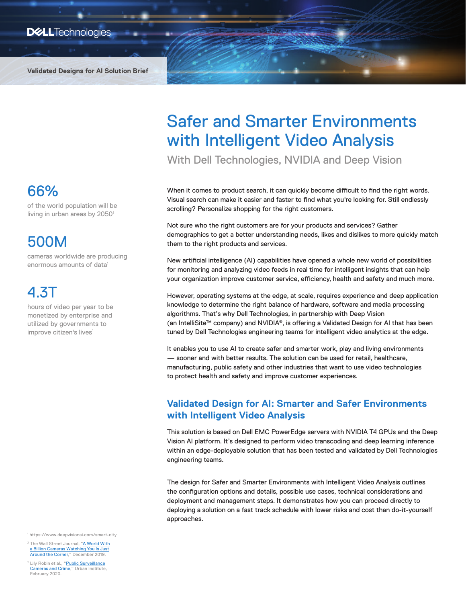**Validated Designs for AI Solution Brief**

### 66%

of the world population will be living in urban areas by 2050<sup>1</sup>

## 500M

cameras worldwide are producing enormous amounts of data<sup>1</sup>

## 4.3T

hours of video per year to be monetized by enterprise and utilized by governments to improve citizen's lives<sup>1</sup>

<sup>1</sup> https://www.deepvisionai.com/smart-city

<sup>2</sup> The Wall Street Journal, ["A World With](https://www.wsj.com/articles/a-billion-surveillance-cameras-forecast-to-be-watching-within-two-years-11575565402) [a Billion Cameras Watching You Is Just](https://www.wsj.com/articles/a-billion-surveillance-cameras-forecast-to-be-watching-within-two-years-11575565402) [Around the Corner](https://www.wsj.com/articles/a-billion-surveillance-cameras-forecast-to-be-watching-within-two-years-11575565402)," December 2019.

<sup>2</sup> Lily Robin et al., "[Public Surveillance](https://www.urban.org/sites/default/files/publication/101649/public_surveillance_cameras_and_crime.pdf) [Cameras and Crime](https://www.urban.org/sites/default/files/publication/101649/public_surveillance_cameras_and_crime.pdf)," Urban Institute, February 2020

# Safer and Smarter Environments with Intelligent Video Analysis

With Dell Technologies, NVIDIA and Deep Vision

When it comes to product search, it can quickly become difficult to find the right words. Visual search can make it easier and faster to find what you're looking for. Still endlessly scrolling? Personalize shopping for the right customers.

Not sure who the right customers are for your products and services? Gather demographics to get a better understanding needs, likes and dislikes to more quickly match them to the right products and services.

New artificial intelligence (AI) capabilities have opened a whole new world of possibilities for monitoring and analyzing video feeds in real time for intelligent insights that can help your organization improve customer service, efficiency, health and safety and much more.

However, operating systems at the edge, at scale, requires experience and deep application knowledge to determine the right balance of hardware, software and media processing algorithms. That's why Dell Technologies, in partnership with Deep Vision (an IntelliSite™ company) and NVIDIA®, is offering a Validated Design for AI that has been tuned by Dell Technologies engineering teams for intelligent video analytics at the edge.

It enables you to use AI to create safer and smarter work, play and living environments — sooner and with better results. The solution can be used for retail, healthcare, manufacturing, public safety and other industries that want to use video technologies to protect health and safety and improve customer experiences.

### **Validated Design for AI: Smarter and Safer Environments with Intelligent Video Analysis**

This solution is based on Dell EMC PowerEdge servers with NVIDIA T4 GPUs and the Deep Vision AI platform. It's designed to perform video transcoding and deep learning inference within an edge-deployable solution that has been tested and validated by Dell Technologies engineering teams.

The design for Safer and Smarter Environments with Intelligent Video Analysis outlines the configuration options and details, possible use cases, technical considerations and deployment and management steps. It demonstrates how you can proceed directly to deploying a solution on a fast track schedule with lower risks and cost than do-it-yourself approaches.